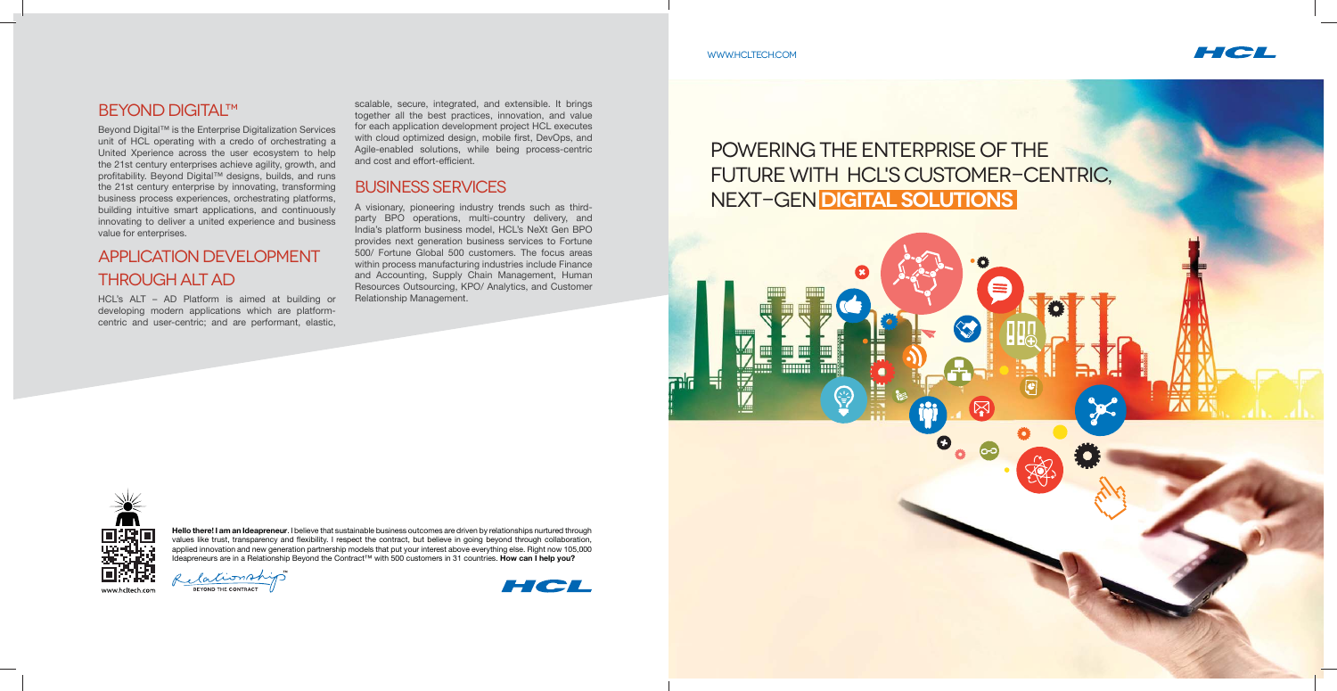#### **BEYOND DIGITAL™**

Beyond Digital™ is the Enterprise Digitalization Services unit of HCL operating with a credo of orchestrating a United Xperience across the user ecosystem to help the 21st century enterprises achieve agility, growth, and profitability. Beyond Digital™ designs, builds, and runs the 21st century enterprise by innovating, transforming business process experiences, orchestrating platforms, building intuitive smart applications, and continuously innovating to deliver a united experience and business value for enterprises.

scalable, secure, integrated, and extensible. It brings together all the best practices, innovation, and value for each application development project HCL executes with cloud optimized design, mobile first, DevOps, and Agile-enabled solutions, while being process-centric and cost and effort-efficient.

## Application Development through ALT AD

HCL's ALT – AD Platform is aimed at building or developing modern applications which are platformcentric and user-centric; and are performant, elastic,

# POWERING THE ENTERPRISE OF THE FUTURE WITH HCL'S CUSTOMER-CENTRIC, next-gen **digital solutions**





#### Business Services

A visionary, pioneering industry trends such as thirdparty BPO operations, multi-country delivery, and India's platform business model, HCL's NeXt Gen BPO provides next generation business services to Fortune 500/ Fortune Global 500 customers. The focus areas within process manufacturing industries include Finance and Accounting, Supply Chain Management, Human Resources Outsourcing, KPO/ Analytics, and Customer Relationship Management.

**Hello there! I am an Ideapreneur**. I believe that sustainable business outcomes are driven by relationships nurtured through values like trust, transparency and flexibility. I respect the contract, but believe in going beyond through collaboration, applied innovation and new generation partnership models that put your interest above everything else. Right now 105,000 Ideapreneurs are in a Relationship Beyond the Contract™ with 500 customers in 31 countries. **How can I help you?**







#### www.hcltech.com